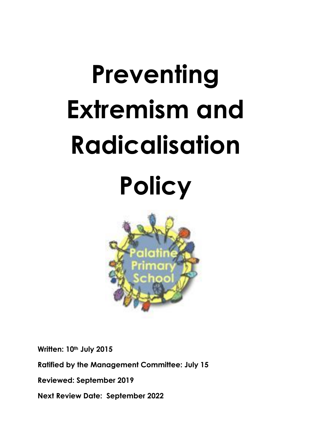# **Preventing Extremism and Radicalisation Policy**



**Written: 10th July 2015** 

**Ratified by the Management Committee: July 15**

**Reviewed: September 2019**

**Next Review Date: September 2022**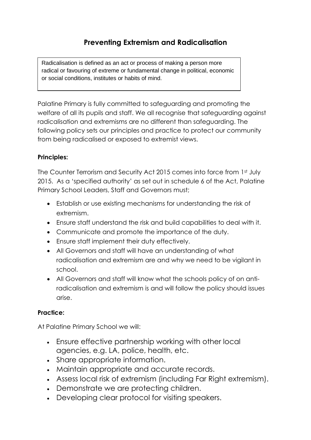Radicalisation is defined as an act or process of making a person more radical or favouring of extreme or fundamental change in political, economic or social conditions, institutes or habits of mind.

 $\mathcal{L}_{\text{max}}$  is defined as the holding of extreme political or  $\mathcal{L}_{\text{max}}$ 

Palatine Primary is fully committed to safeguarding and promoting the welfare of all its pupils and staff. We all recognise that safeguarding against radicalisation and extremisms are no different than safeguarding. The following policy sets our principles and practice to protect our community from being radicalised or exposed to extremist views.

## **Principles:**

The Counter Terrorism and Security Act 2015 comes into force from 1st July 2015. As a 'specified authority' as set out in schedule 6 of the Act, Palatine Primary School Leaders, Staff and Governors must;

- Establish or use existing mechanisms for understanding the risk of extremism.
- Ensure staff understand the risk and build capabilities to deal with it.
- Communicate and promote the importance of the duty.
- Ensure staff implement their duty effectively.
- All Governors and staff will have an understanding of what radicalisation and extremism are and why we need to be vigilant in school.
- All Governors and staff will know what the schools policy of on antiradicalisation and extremism is and will follow the policy should issues arise.

## **Practice:**

At Palatine Primary School we will:

- Ensure effective partnership working with other local agencies, e.g. LA, police, health, etc.
- Share appropriate information.
- Maintain appropriate and accurate records.
- Assess local risk of extremism (including Far Right extremism).
- Demonstrate we are protecting children.
- Developing clear protocol for visiting speakers.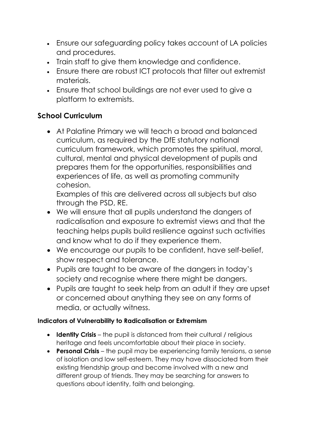- Ensure our safeguarding policy takes account of LA policies and procedures.
- Train staff to give them knowledge and confidence.
- Ensure there are robust ICT protocols that filter out extremist materials.
- Ensure that school buildings are not ever used to give a platform to extremists.

## **School Curriculum**

 At Palatine Primary we will teach a broad and balanced curriculum, as required by the DfE statutory national curriculum framework, which promotes the spiritual, moral, cultural, mental and physical development of pupils and prepares them for the opportunities, responsibilities and experiences of life, as well as promoting community cohesion.

Examples of this are delivered across all subjects but also through the PSD, RE.

- We will ensure that all pupils understand the dangers of radicalisation and exposure to extremist views and that the teaching helps pupils build resilience against such activities and know what to do if they experience them.
- We encourage our pupils to be confident, have self-belief, show respect and tolerance.
- Pupils are taught to be aware of the dangers in today's society and recognise where there might be dangers.
- Pupils are taught to seek help from an adult if they are upset or concerned about anything they see on any forms of media, or actually witness.

## **Indicators of Vulnerability to Radicalisation or Extremism**

- **Identity Crisis** the pupil is distanced from their cultural / religious heritage and feels uncomfortable about their place in society.
- **Personal Crisis** the pupil may be experiencing family tensions, a sense of isolation and low self-esteem. They may have dissociated from their existing friendship group and become involved with a new and different group of friends. They may be searching for answers to questions about identity, faith and belonging.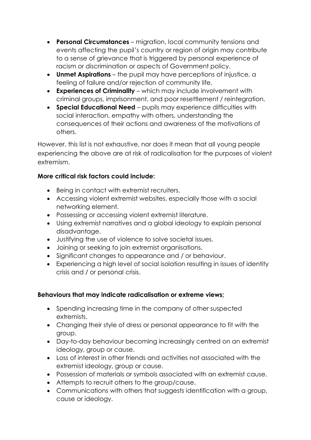- **Personal Circumstances** migration, local community tensions and events affecting the pupil's country or region of origin may contribute to a sense of grievance that is triggered by personal experience of racism or discrimination or aspects of Government policy.
- **Unmet Aspirations** the pupil may have perceptions of injustice, a feeling of failure and/or rejection of community life.
- **Experiences of Criminality** which may include involvement with criminal groups, imprisonment, and poor resettlement / reintegration.
- **Special Educational Need** pupils may experience difficulties with social interaction, empathy with others, understanding the consequences of their actions and awareness of the motivations of others.

However, this list is not exhaustive, nor does it mean that all young people experiencing the above are at risk of radicalisation for the purposes of violent extremism.

#### **More critical risk factors could include:**

- Being in contact with extremist recruiters.
- Accessing violent extremist websites, especially those with a social networking element.
- Possessing or accessing violent extremist literature.
- Using extremist narratives and a global ideology to explain personal disadvantage.
- Justifying the use of violence to solve societal issues.
- Joining or seeking to join extremist organisations.
- Significant changes to appearance and / or behaviour.
- Experiencing a high level of social isolation resulting in issues of identity crisis and / or personal crisis.

## **Behaviours that may indicate radicalisation or extreme views;**

- Spending increasing time in the company of other suspected extremists.
- Changing their style of dress or personal appearance to fit with the group.
- Day-to-day behaviour becoming increasingly centred on an extremist ideology, group or cause.
- Loss of interest in other friends and activities not associated with the extremist ideology, group or cause.
- Possession of materials or symbols associated with an extremist cause.
- Attempts to recruit others to the group/cause.
- Communications with others that suggests identification with a group, cause or ideology.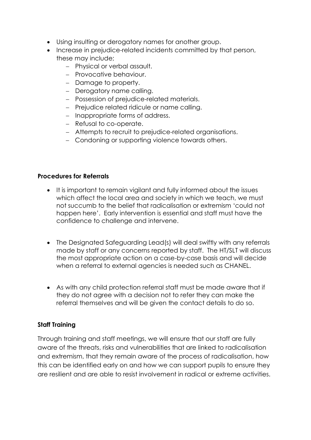- Using insulting or derogatory names for another group.
- Increase in prejudice-related incidents committed by that person, these may include;
	- Physical or verbal assault.
	- Provocative behaviour.
	- Damage to property.
	- Derogatory name calling.
	- Possession of prejudice-related materials.
	- Prejudice related ridicule or name calling.
	- Inappropriate forms of address.
	- Refusal to co-operate.
	- Attempts to recruit to prejudice-related organisations.
	- Condoning or supporting violence towards others.

#### **Procedures for Referrals**

- It is important to remain vigilant and fully informed about the issues which affect the local area and society in which we teach, we must not succumb to the belief that radicalisation or extremism 'could not happen here'. Early intervention is essential and staff must have the confidence to challenge and intervene.
- The Designated Safeguarding Lead(s) will deal swiftly with any referrals made by staff or any concerns reported by staff. The HT/SLT will discuss the most appropriate action on a case-by-case basis and will decide when a referral to external agencies is needed such as CHANEL.
- As with any child protection referral staff must be made aware that if they do not agree with a decision not to refer they can make the referral themselves and will be given the contact details to do so.

#### **Staff Training**

Through training and staff meetings, we will ensure that our staff are fully aware of the threats, risks and vulnerabilities that are linked to radicalisation and extremism, that they remain aware of the process of radicalisation, how this can be identified early on and how we can support pupils to ensure they are resilient and are able to resist involvement in radical or extreme activities.